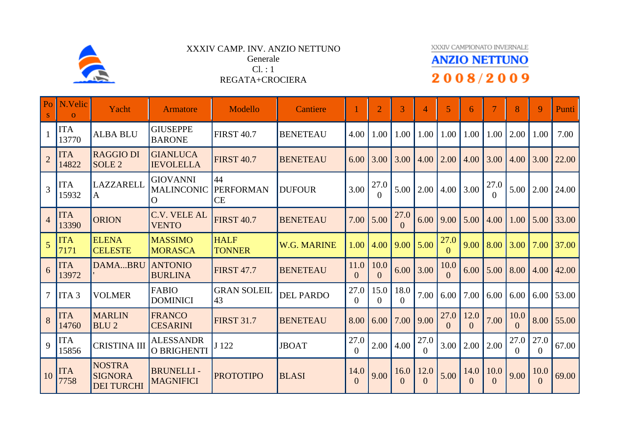

## XXXIV CAMP. INV. ANZIO NETTUNO Generale Cl. : 1 REGATA+CROCIERA

XXXIV CAMPIONATO INVERNALE

## **ANZIO NETTUNO** 2008/2009

| Po             | N.Velic<br>$\Omega$ | Yacht                                                | Armatore                                             | Modello                      | Cantiere           |                  | $\overline{2}$   | 3                      | 4                | 5                | 6                |                  | 8                | 9                | <b>Punti</b> |
|----------------|---------------------|------------------------------------------------------|------------------------------------------------------|------------------------------|--------------------|------------------|------------------|------------------------|------------------|------------------|------------------|------------------|------------------|------------------|--------------|
|                | <b>ITA</b><br>13770 | <b>ALBA BLU</b>                                      | <b>GIUSEPPE</b><br><b>BARONE</b>                     | <b>FIRST 40.7</b>            | <b>BENETEAU</b>    | 4.00             | 1.00             | 1.00                   | 1.00             | 1.00             | 1.00             | 1.00             | 2.00             | 1.00             | 7.00         |
| $\overline{2}$ | <b>ITA</b><br>14822 | <b>RAGGIO DI</b><br>SOLE <sub>2</sub>                | <b>GIANLUCA</b><br><b>IEVOLELLA</b>                  | <b>FIRST 40.7</b>            | <b>BENETEAU</b>    | 6.00             | 3.00             | 3.00                   | 4.00             | 2.00             | 4.00             | 3.00             | 4.00             | 3.00             | 22.00        |
| $\overline{3}$ | <b>ITA</b><br>15932 | LAZZARELL<br>ΙA                                      | <b>GIOVANNI</b><br><b>MALINCONIC</b><br>$\mathbf{O}$ | 44<br>PERFORMAN<br><b>CE</b> | <b>DUFOUR</b>      | 3.00             | 27.0<br>$\Omega$ | 5.00                   | 2.00             | 4.00             | 3.00             | 27.0             | 5.00             | 2.00             | 24.00        |
| $\overline{4}$ | <b>ITA</b><br>13390 | <b>ORION</b>                                         | <b>C.V. VELE AL</b><br><b>VENTO</b>                  | <b>FIRST 40.7</b>            | <b>BENETEAU</b>    | 7.00             | 5.00             | 27.0<br>$\Omega$       | 6.00             | 9.00             | 5.00             | 4.00             | 1.00             | 5.00             | 33.00        |
| 5              | <b>ITA</b><br>7171  | <b>ELENA</b><br><b>CELESTE</b>                       | <b>MASSIMO</b><br><b>MORASCA</b>                     | <b>HALF</b><br><b>TONNER</b> | <b>W.G. MARINE</b> | 1.00             | 4.00             | 9.00                   | 5.00             | 27.0<br>$\Omega$ | 9.00             | 8.00             | 3.00             | 7.00             | 37.00        |
| 6              | <b>ITA</b><br>13972 | DAMABRU                                              | <b>ANTONIO</b><br><b>BURLINA</b>                     | <b>FIRST 47.7</b>            | <b>BENETEAU</b>    | 11.0<br>$\Omega$ | 10.0<br>$\Omega$ | 6.00                   | 3.00             | 10.0<br>$\Omega$ | 6.00             | 5.00             | 8.00             | 4.00             | 42.00        |
| 7              | ITA <sub>3</sub>    | <b>VOLMER</b>                                        | <b>FABIO</b><br><b>DOMINICI</b>                      | <b>GRAN SOLEIL</b><br>43     | <b>DEL PARDO</b>   | 27.0<br>$\Omega$ | 15.0<br>0        | 18.0<br>$\overline{0}$ | 7.00             | 6.00             | 7.00             | 6.00             | 6.00             | 6.00             | 153.00       |
| 8              | <b>ITA</b><br>14760 | <b>MARLIN</b><br><b>BLU2</b>                         | <b>FRANCO</b><br><b>CESARINI</b>                     | <b>FIRST 31.7</b>            | <b>BENETEAU</b>    | 8.00             | 6.00             | 7.00                   | 9.00             | 27.0<br>$\Omega$ | 12.0<br>$\Omega$ | 7.00             | 10.0<br>$\Omega$ | 8.00             | 55.00        |
| 9              | <b>ITA</b><br>15856 | <b>CRISTINA III</b>                                  | <b>ALESSANDR</b><br><b>O BRIGHENTI</b>               | J 122                        | <b>JBOAT</b>       | 27.0<br>$\Omega$ | 2.00             | 4.00                   | 27.0<br>$\Omega$ | 3.00             | 2.00             | 2.00             | 27.0<br>$\Omega$ | 27.0<br>$\Omega$ | 67.00        |
| 10             | <b>ITA</b><br>7758  | <b>NOSTRA</b><br><b>SIGNORA</b><br><b>DEI TURCHI</b> | <b>BRUNELLI-</b><br><b>MAGNIFICI</b>                 | <b>PROTOTIPO</b>             | <b>BLASI</b>       | 14.0<br>$\Omega$ | 9.00             | 16.0<br>$\overline{0}$ | 12.0<br>$\Omega$ | 5.00             | 14.0<br>$\Omega$ | 10.0<br>$\Omega$ | 9.00             | 10.0<br>$\theta$ | 69.00        |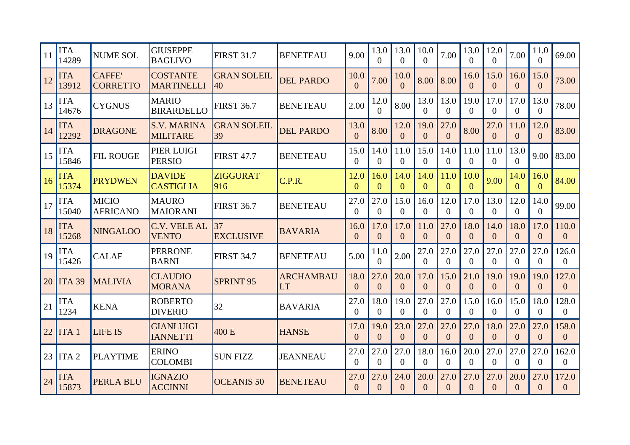| 11 | <b>ITA</b><br>14289 | <b>NUME SOL</b>                 | <b>GIUSEPPE</b><br><b>BAGLIVO</b>     | <b>FIRST 31.7</b>                      | <b>BENETEAU</b>               | 9.00             | 13.0<br>0              | 13.0<br>0              | 10.0<br>$\Omega$       | 7.00                   | 13.0<br>$\Omega$       | 12.0<br>0        | 7.00                   | 11.0<br>$\Omega$       | 69.00                   |
|----|---------------------|---------------------------------|---------------------------------------|----------------------------------------|-------------------------------|------------------|------------------------|------------------------|------------------------|------------------------|------------------------|------------------|------------------------|------------------------|-------------------------|
| 12 | <b>ITA</b><br>13912 | <b>CAFFE</b><br><b>CORRETTO</b> | <b>COSTANTE</b><br><b>MARTINELLI</b>  | <b>GRAN SOLEIL</b><br>$\overline{140}$ | <b>DEL PARDO</b>              | 10.0<br>$\Omega$ | 7.00                   | 10.0<br>$\Omega$       | 8.00                   | 8.00                   | 16.0<br>$\Omega$       | 15.0<br>$\Omega$ | 16.0<br>$\Omega$       | 15.0<br>$\Omega$       | 73.00                   |
| 13 | <b>ITA</b><br>14676 | <b>CYGNUS</b>                   | <b>MARIO</b><br><b>BIRARDELLO</b>     | <b>FIRST 36.7</b>                      | <b>BENETEAU</b>               | 2.00             | 12.0<br>$\Omega$       | 8.00                   | 13.0<br>$\Omega$       | 13.0<br>$\Omega$       | 19.0<br>0              | 17.0<br>$\Omega$ | 17.0<br>$\Omega$       | 13.0<br>$\Omega$       | 78.00                   |
| 14 | <b>ITA</b><br>12292 | <b>DRAGONE</b>                  | <b>S.V. MARINA</b><br><b>MILITARE</b> | <b>GRAN SOLEIL</b><br>39               | <b>DEL PARDO</b>              | 13.0<br>$\Omega$ | 8.00                   | 12.0<br>$\overline{0}$ | 19.0<br>$\overline{0}$ | 27.0<br>$\Omega$       | 8.00                   | 27.0<br>$\theta$ | 11.0<br>$\overline{0}$ | 12.0<br>$\overline{0}$ | 83.00                   |
| 15 | <b>ITA</b><br>15846 | <b>FIL ROUGE</b>                | PIER LUIGI<br><b>PERSIO</b>           | <b>FIRST 47.7</b>                      | <b>BENETEAU</b>               | 15.0<br>$\Omega$ | 14.0<br>0              | 11.0<br>$\overline{0}$ | 15.0<br>$\theta$       | 14.0<br>$\theta$       | 11.0<br>$\Omega$       | 11.0<br>0        | 13.0<br>$\Omega$       | 9.00                   | 83.00                   |
| 16 | <b>ITA</b><br>15374 | <b>PRYDWEN</b>                  | <b>DAVIDE</b><br><b>CASTIGLIA</b>     | <b>ZIGGURAT</b><br>916                 | C.P.R.                        | 12.0<br>$\Omega$ | 16.0<br>$\Omega$       | 14.0<br>$\Omega$       | 14.0<br>$\Omega$       | 11.0<br>$\theta$       | 10.0<br>$\Omega$       | 9.00             | 14.0<br>$\Omega$       | 16.0<br>$\Omega$       | 84.00                   |
| 17 | <b>ITA</b><br>15040 | <b>MICIO</b><br><b>AFRICANO</b> | <b>MAURO</b><br><b>MAIORANI</b>       | <b>FIRST 36.7</b>                      | <b>BENETEAU</b>               | 27.0<br>$\Omega$ | 27.0<br>$\Omega$       | 15.0<br>$\Omega$       | 16.0<br>$\Omega$       | 12.0<br>$\Omega$       | 17.0<br>$\Omega$       | 13.0<br>$\Omega$ | 12.0<br>$\Omega$       | 14.0<br>$\Omega$       | 99.00                   |
| 18 | <b>ITA</b><br>15268 | <b>NINGALOO</b>                 | <b>C.V. VELE AL</b><br><b>VENTO</b>   | 37<br><b>EXCLUSIVE</b>                 | <b>BAVARIA</b>                | 16.0<br>$\Omega$ | 17.0<br>$\Omega$       | 17.0<br>$\Omega$       | 11.0<br>$\Omega$       | 27.0<br>$\Omega$       | 18.0<br>$\Omega$       | 14.0<br>$\Omega$ | 18.0<br>$\Omega$       | 17.0<br>$\Omega$       | 110.0<br>$\overline{0}$ |
| 19 | <b>ITA</b><br>15426 | <b>CALAF</b>                    | <b>PERRONE</b><br><b>BARNI</b>        | <b>FIRST 34.7</b>                      | <b>BENETEAU</b>               | 5.00             | 11.0<br>$\Omega$       | 2.00                   | 27.0<br>$\Omega$       | 27.0<br>$\Omega$       | 27.0<br>0              | 27.0<br>$\Omega$ | 27.0<br>$\Omega$       | 27.0<br>$\Omega$       | 126.0<br>$\overline{0}$ |
| 20 | <b>ITA 39</b>       | <b>MALIVIA</b>                  | <b>CLAUDIO</b><br><b>MORANA</b>       | <b>SPRINT 95</b>                       | <b>ARCHAMBAU</b><br><b>LT</b> | 18.0<br>$\theta$ | 27.0<br>$\overline{0}$ | 20.0<br>$\overline{0}$ | 17.0<br>$\overline{0}$ | 15.0<br>$\overline{0}$ | 21.0<br>$\overline{0}$ | 19.0<br>$\Omega$ | 19.0<br>$\overline{0}$ | 19.0<br>$\overline{0}$ | 127.0<br>$\overline{0}$ |
| 21 | <b>ITA</b><br>1234  | <b>KENA</b>                     | <b>ROBERTO</b><br><b>DIVERIO</b>      | 32                                     | <b>BAVARIA</b>                | 27.0<br>$\Omega$ | 18.0<br>$\Omega$       | 19.0<br>$\Omega$       | 27.0<br>$\overline{0}$ | 27.0<br>$\theta$       | 15.0<br>$\Omega$       | 16.0<br>0        | 15.0<br>$\Omega$       | 18.0<br>$\Omega$       | 128.0<br>$\overline{0}$ |
| 22 | ITA <sub>1</sub>    | <b>LIFE IS</b>                  | <b>GIANLUIGI</b><br><b>IANNETTI</b>   | 400 E                                  | <b>HANSE</b>                  | 17.0<br>$\Omega$ | 19.0<br>$\Omega$       | 23.0<br>$\Omega$       | 27.0<br>$\Omega$       | 27.0<br>$\Omega$       | 27.0<br>$\Omega$       | 18.0<br>$\Omega$ | 27.0<br>$\Omega$       | 27.0<br>$\Omega$       | 158.0<br>$\overline{0}$ |
|    |                     |                                 | <b>ERINO</b>                          |                                        |                               | 27.0             | 27.0                   | 27.0                   | 18.0                   | 16.0                   | 20.0                   | 27.0             | 27.0                   | 27.0                   | 162.0                   |
| 23 | ITA <sub>2</sub>    | <b>PLAYTIME</b>                 | <b>COLOMBI</b>                        | <b>SUN FIZZ</b>                        | <b>JEANNEAU</b>               | $\Omega$         | $\Omega$               | $\Omega$               | $\Omega$               | $\Omega$               | $\Omega$               | $\Omega$         | $\theta$               | $\Omega$               | $\overline{0}$          |